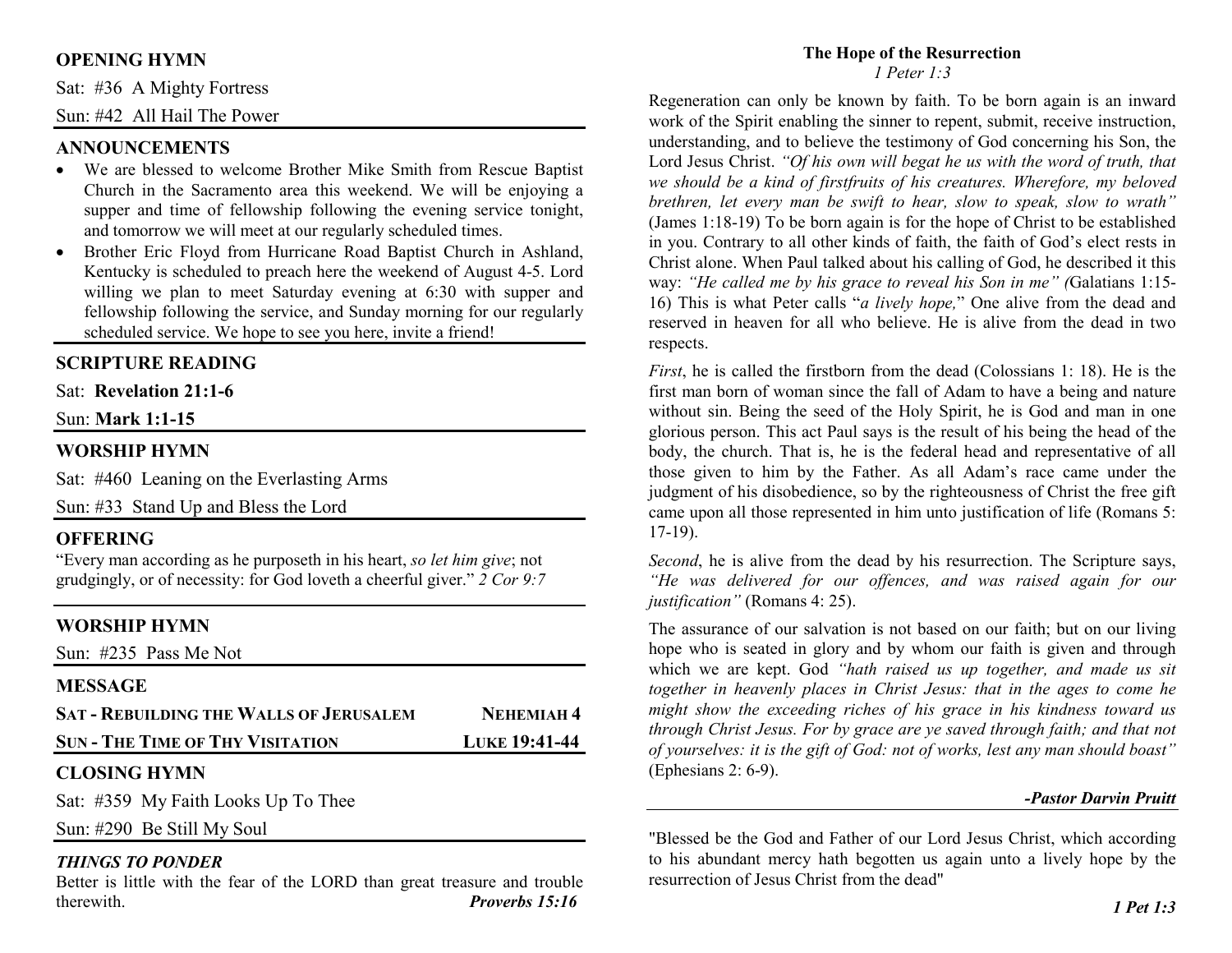# **OPENING HYMN**

Sat: #36 A Mighty Fortress

Sun: #42 All Hail The Power

#### **ANNOUNCEMENTS**

- We are blessed to welcome Brother Mike Smith from Rescue Baptist Church in the Sacramento area this weekend. We will be enjoying a supper and time of fellowship following the evening service tonight, and tomorrow we will meet at our regularly scheduled times.
- Brother Eric Floyd from Hurricane Road Baptist Church in Ashland, •Kentucky is scheduled to preach here the weekend of August 4-5. Lord willing we plan to meet Saturday evening at 6:30 with supper and fellowship following the service, and Sunday morning for our regularly scheduled service. We hope to see you here, invite a friend!

### **SCRIPTURE READING**

Sat: **Revelation 21:1-6**

#### Sun: **Mark 1:1-15**

### **WORSHIP HYMN**

Sat: #460 Leaning on the Everlasting Arms

Sun: #33 Stand Up and Bless the Lord

#### **OFFERING**

 "Every man according as he purposeth in his heart, *so let him give*; not grudgingly, or of necessity: for God loveth a cheerful giver." *2 Cor 9:7*

# **WORSHIP HYMN**

Sun: #235 Pass Me Not

#### **MESSAGE**

| <b>SAT - REBUILDING THE WALLS OF JERUSALEM</b> | NEHEMIAH <sup>4</sup> |
|------------------------------------------------|-----------------------|
| <b>SUN - THE TIME OF THY VISITATION</b>        | <b>LUKE 19:41-44</b>  |

# **CLOSING HYMN**

Sat: #359 My Faith Looks Up To Thee

Sun: #290 Be Still My Soul

# *THINGS TO PONDER*

 Better is little with the fear of the LORD than great treasure and trouble therewith. *Proverbs 15:16* 

#### **The Hope of the Resurrection** *1 Peter 1:3*

Regeneration can only be known by faith. To be born again is an inward work of the Spirit enabling the sinner to repent, submit, receive instruction, understanding, and to believe the testimony of God concerning his Son, the Lord Jesus Christ. *"Of his own will begat he us with the word of truth, that we should be a kind of firstfruits of his creatures. Wherefore, my beloved brethren, let every man be swift to hear, slow to speak, slow to wrath"*  (James 1:18-19) To be born again is for the hope of Christ to be established in you. Contrary to all other kinds of faith, the faith of God's elect rests in Christ alone. When Paul talked about his calling of God, he described it this way: *"He called me by his grace to reveal his Son in me" (*Galatians 1:15- 16) This is what Peter calls "*a lively hope,*" One alive from the dead and reserved in heaven for all who believe. He is alive from the dead in two respects.

*First*, he is called the firstborn from the dead (Colossians 1: 18). He is the first man born of woman since the fall of Adam to have a being and nature without sin. Being the seed of the Holy Spirit, he is God and man in one glorious person. This act Paul says is the result of his being the head of the body, the church. That is, he is the federal head and representative of all those given to him by the Father. As all Adam's race came under the judgment of his disobedience, so by the righteousness of Christ the free gift came upon all those represented in him unto justification of life (Romans 5: 17-19).

*Second*, he is alive from the dead by his resurrection. The Scripture says, *"He was delivered for our offences, and was raised again for our justification"* (Romans 4: 25).

The assurance of our salvation is not based on our faith; but on our living hope who is seated in glory and by whom our faith is given and through which we are kept. God *"hath raised us up together, and made us sit together in heavenly places in Christ Jesus: that in the ages to come he might show the exceeding riches of his grace in his kindness toward us through Christ Jesus. For by grace are ye saved through faith; and that not of yourselves: it is the gift of God: not of works, lest any man should boast"* (Ephesians 2: 6-9).

# *-Pastor Darvin Pruitt*

"Blessed be the God and Father of our Lord Jesus Christ, which according to his abundant mercy hath begotten us again unto a lively hope by the resurrection of Jesus Christ from the dead"